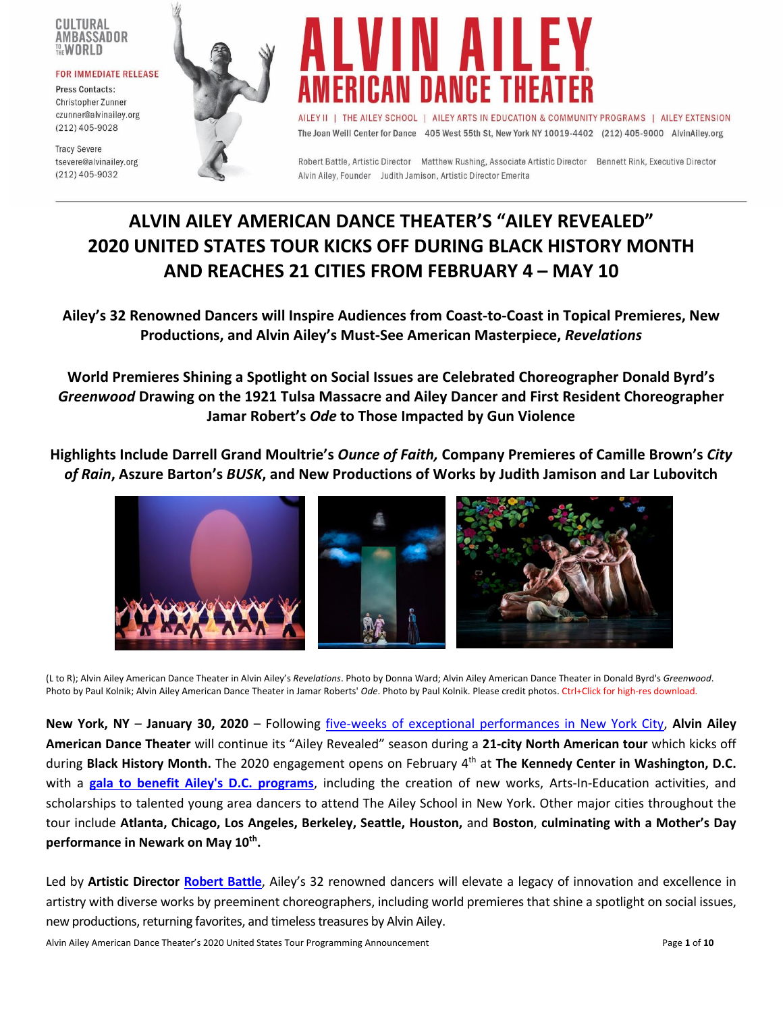#### CULTURAL AMBASSADOR THE WORLD

#### **FOR IMMEDIATE RELEASE**

Press Contacts: Christopher Zunner czunner@alvinailey.org  $(212)$  405-9028

**Tracy Severe** tsevere@alvinailey.org  $(212)$  405-9032





AILEY II | THE AILEY SCHOOL | AILEY ARTS IN EDUCATION & COMMUNITY PROGRAMS | AILEY EXTENSION The Joan Weill Center for Dance 405 West 55th St, New York NY 10019-4402 (212) 405-9000 AlvinAiley.org

Robert Battle, Artistic Director Matthew Rushing, Associate Artistic Director Bennett Rink, Executive Director Alvin Ailey, Founder Judith Jamison, Artistic Director Emerita

# **ALVIN AILEY AMERICAN DANCE THEATER'S "AILEY REVEALED" 2020 UNITED STATES TOUR KICKS OFF DURING BLACK HISTORY MONTH AND REACHES 21 CITIES FROM FEBRUARY 4 – MAY 10**

**Ailey's 32 Renowned Dancers will Inspire Audiences from Coast-to-Coast in Topical Premieres, New Productions, and Alvin Ailey's Must-See American Masterpiece,** *Revelations*

**World Premieres Shining a Spotlight on Social Issues are Celebrated Choreographer Donald Byrd's**  *Greenwood* **Drawing on the 1921 Tulsa Massacre and Ailey Dancer and First Resident Choreographer Jamar Robert's** *Ode* **to Those Impacted by Gun Violence**

**Highlights Include Darrell Grand Moultrie's** *Ounce of Faith,* **Company Premieres of Camille Brown's** *City of Rain***, Aszure Barton's** *BUSK***, and New Productions of Works by Judith Jamison and Lar Lubovitch** 



(L to R); Alvin Ailey American Dance Theater in Alvin Ailey's *Revelations*. Photo by Donna Ward; Alvin Ailey American Dance Theater in Donald Byrd's *Greenwood*. Photo by Paul Kolnik; Alvin Ailey American Dance Theater in Jamar Roberts' *Ode*. Photo by Paul Kolnik. Please credit photos. Ctrl+Click for high-res download.

**New York, NY** – **January 30, 2020** – Following [five-weeks of exceptional performances in New York City,](http://pressroom.alvinailey.org/internal_redirect/cms.ipressroom.com.s3.amazonaws.com/292/files/201911/Ailey2019NYCCSeasonProgrammingAnnouncement_Comprehensive_Final1210192%201.pdf) **Alvin Ailey American Dance Theater** will continue its "Ailey Revealed" season during a **21-city North American tour** which kicks off during **Black History Month.** The 2020 engagement opens on February 4th at **The Kennedy Center in Washington, D.C.** with a **[gala to benefit Ailey's D.C. programs](https://www.alvinailey.org/support/washington-dc-gala-benefit)**, including the creation of new works, Arts-In-Education activities, and scholarships to talented young area dancers to attend The Ailey School in New York. Other major cities throughout the tour include **Atlanta, Chicago, Los Angeles, Berkeley, Seattle, Houston,** and **Boston**, **culminating with a Mother's Day performance in Newark on May 10th .**

Led by **Artistic Director [Robert Battle](http://pressroom.alvinailey.org/alvin-ailey-american-dance-theater/directors/robert-battle)**, Ailey's 32 renowned dancers will elevate a legacy of innovation and excellence in artistry with diverse works by preeminent choreographers, including world premieres that shine a spotlight on social issues, new productions, returning favorites, and timeless treasures by Alvin Ailey.

Alvin Ailey American Dance Theater's 2020 United States Tour Programming Announcement **Page 1** of 10<br> **Alvin Ailey American Dance Theater's 2020 United States Tour Programming Announcement**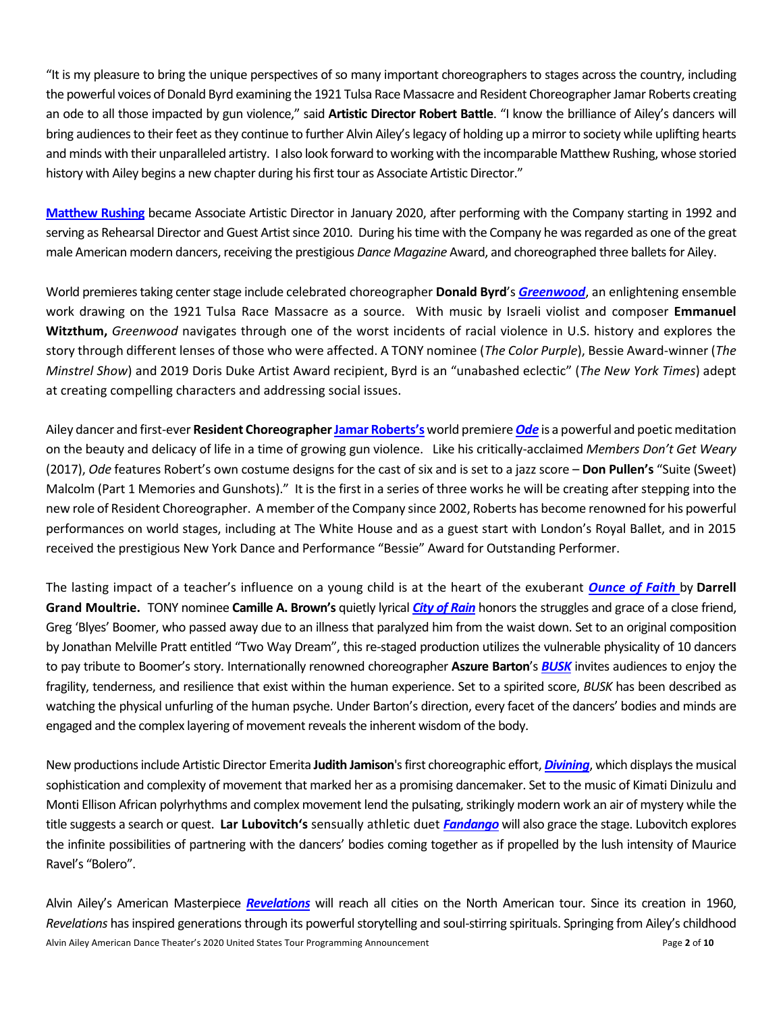"It is my pleasure to bring the unique perspectives of so many important choreographers to stages across the country, including the powerful voices of Donald Byrd examining the 1921 Tulsa Race Massacre and Resident Choreographer Jamar Roberts creating an ode to all those impacted by gun violence," said **Artistic Director Robert Battle**. "I know the brilliance of Ailey's dancers will bring audiencesto their feet as they continue to further Alvin Ailey's legacy of holding up a mirror to society while uplifting hearts and minds with their unparalleled artistry. I also look forward to working with the incomparable Matthew Rushing, whose storied history with Ailey begins a new chapter during his first tour as Associate Artistic Director."

**[Matthew Rushing](http://pressroom.alvinailey.org/alvin-ailey-american-dance-theater/directors/matthew-rushing)** became Associate Artistic Director in January 2020, after performing with the Company starting in 1992 and serving as Rehearsal Director and Guest Artist since 2010. During his time with the Company he was regarded as one of the great male American modern dancers, receiving the prestigious *Dance Magazine* Award, and choreographed three balletsfor Ailey.

World premieres taking center stage include celebrated choreographer **Donald Byrd**'s *[Greenwood](http://pressroom.alvinailey.org/alvin-ailey-american-dance-theater/repertory/greenwood)*, an enlightening ensemble work drawing on the 1921 Tulsa Race Massacre as a source. With music by Israeli violist and composer **Emmanuel Witzthum,** *Greenwood* navigates through one of the worst incidents of racial violence in U.S. history and explores the story through different lenses of those who were affected. A TONY nominee (*The Color Purple*), Bessie Award-winner (*The Minstrel Show*) and 2019 Doris Duke Artist Award recipient, Byrd is an "unabashed eclectic" (*The New York Times*) adept at creating compelling characters and addressing social issues.

Ailey dancer and first-ever **Resident Choreographe[r Jamar Roberts](http://pressroom.alvinailey.org/alvin-ailey-american-dance-theater/dancers/jamar-roberts)'s** world premiere*[Ode](http://pressroom.alvinailey.org/alvin-ailey-american-dance-theater/repertory/ode)* is a powerful and poetic meditation on the beauty and delicacy of life in a time of growing gun violence. Like his critically-acclaimed *Members Don't Get Weary*  (2017), *Ode* features Robert's own costume designs for the cast of six and is set to a jazz score – **Don Pullen's** "Suite (Sweet) Malcolm (Part 1 Memories and Gunshots)." It is the first in a series of three works he will be creating after stepping into the new role of Resident Choreographer. A member of the Company since 2002, Roberts has become renowned for his powerful performances on world stages, including at The White House and as a guest start with London's Royal Ballet, and in 2015 received the prestigious New York Dance and Performance "Bessie" Award for Outstanding Performer.

The lasting impact of a teacher's influence on a young child is at the heart of the exuberant *[Ounce of Faith](http://pressroom.alvinailey.org/alvin-ailey-american-dance-theater/repertory/ounce-of-faith)* by **Darrell Grand Moultrie.** TONY nominee **Camille A. Brown's** quietly lyrical *[City of Rain](http://pressroom.alvinailey.org/alvin-ailey-american-dance-theater/repertory/city-of-rain)* honors the struggles and grace of a close friend, Greg 'Blyes' Boomer, who passed away due to an illness that paralyzed him from the waist down. Set to an original composition by Jonathan Melville Pratt entitled "Two Way Dream", this re-staged production utilizes the vulnerable physicality of 10 dancers to pay tribute to Boomer's story. Internationally renowned choreographer **Aszure Barton**'s *[BUSK](http://pressroom.alvinailey.org/alvin-ailey-american-dance-theater/repertory/busk)* invites audiences to enjoy the fragility, tenderness, and resilience that exist within the human experience. Set to a spirited score, *BUSK* has been described as watching the physical unfurling of the human psyche. Under Barton's direction, every facet of the dancers' bodies and minds are engaged and the complex layering of movement reveals the inherent wisdom of the body.

New productions include Artistic Director Emerita **Judith Jamison**'s first choreographic effort, *[Divining](http://pressroom.alvinailey.org/alvin-ailey-american-dance-theater/repertory/divining)*, which displays the musical sophistication and complexity of movement that marked her as a promising dancemaker. Set to the music of Kimati Dinizulu and Monti Ellison African polyrhythms and complex movement lend the pulsating, strikingly modern work an air of mystery while the title suggests a search or quest. **Lar Lubovitch's** sensually athletic duet *[Fandango](http://pressroom.alvinailey.org/alvin-ailey-american-dance-theater/repertory/fandango)* will also grace the stage. Lubovitch explores the infinite possibilities of partnering with the dancers' bodies coming together as if propelled by the lush intensity of Maurice Ravel's "Bolero".

Alvin Ailey American Dance Theater's 2020 United States Tour Programming Announcement Page **2** of **10** Alvin Ailey's American Masterpiece *[Revelations](http://pressroom.alvinailey.org/alvin-ailey-american-dance-theater/repertory/revelations)* will reach all cities on the North American tour. Since its creation in 1960, *Revelations* has inspired generations through its powerful storytelling and soul-stirring spirituals. Springing from Ailey's childhood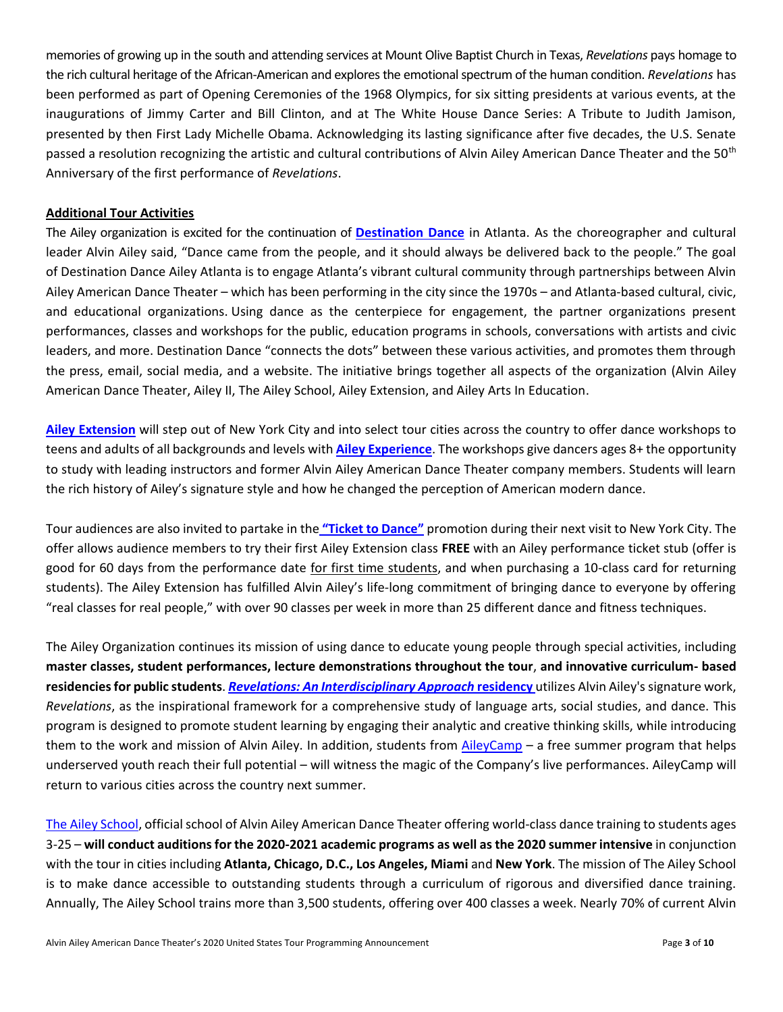memories of growing up in the south and attending services at Mount Olive Baptist Church in Texas, *Revelations* pays homage to the rich cultural heritage of the African-American and explores the emotional spectrum of the human condition. *Revelations* has been performed as part of Opening Ceremonies of the 1968 Olympics, for six sitting presidents at various events, at the inaugurations of Jimmy Carter and Bill Clinton, and at The White House Dance Series: A Tribute to Judith Jamison, presented by then First Lady Michelle Obama. Acknowledging its lasting significance after five decades, the U.S. Senate passed a resolution recognizing the artistic and cultural contributions of Alvin Ailey American Dance Theater and the 50<sup>th</sup> Anniversary of the first performance of *Revelations*.

# **Additional Tour Activities**

The Ailey organization is excited for the continuation of **[Destination Dance](https://www.alvinailey.org/destinationdance)** in Atlanta. As the choreographer and cultural leader Alvin Ailey said, "Dance came from the people, and it should always be delivered back to the people." The goal of Destination Dance Ailey Atlanta is to engage Atlanta's vibrant cultural community through partnerships between Alvin Ailey American Dance Theater – which has been performing in the city since the 1970s – and Atlanta-based cultural, civic, and educational organizations. Using dance as the centerpiece for engagement, the partner organizations present performances, classes and workshops for the public, education programs in schools, conversations with artists and civic leaders, and more. Destination Dance "connects the dots" between these various activities, and promotes them through the press, email, social media, and a website. The initiative brings together all aspects of the organization (Alvin Ailey American Dance Theater, Ailey II, The Ailey School, Ailey Extension, and Ailey Arts In Education.

**[Ailey Extension](http://pressroom.alvinailey.org/the-ailey-extension)** will step out of New York City and into select tour cities across the country to offer dance workshops to teens and adults of all backgrounds and levels with **[Ailey Experience](https://www.aileyextension.com/ailey-experience-2020)**. The workshops give dancers ages 8+ the opportunity to study with leading instructors and former Alvin Ailey American Dance Theater company members. Students will learn the rich history of Ailey's signature style and how he changed the perception of American modern dance.

Tour audiences are also invited to partake in the **["Ticket to Dance"](https://www.aileyextension.com/Ticket-to-Dance)** promotion during their next visit to New York City. The offer allows audience members to try their first Ailey Extension class **FREE** with an Ailey performance ticket stub (offer is good for 60 days from the performance date for first time students, and when purchasing a 10-class card for returning students). The Ailey Extension has fulfilled Alvin Ailey's life‐long commitment of bringing dance to everyone by offering "real classes for real people," with over 90 classes per week in more than 25 different dance and fitness techniques.

The Ailey Organization continues its mission of using dance to educate young people through special activities, including **master classes, student performances, lecture demonstrations throughout the tour**, **and innovative curriculum- based residencies for public students**. *[Revelations: An Interdisciplinary Approach](http://pressroom.alvinailey.org/arts-in-education/revelations-residencies)* **residency** utilizes Alvin Ailey's signature work, *Revelations*, as the inspirational framework for a comprehensive study of language arts, social studies, and dance. This program is designed to promote student learning by engaging their analytic and creative thinking skills, while introducing them to the work and mission of Alvin Ailey. In addition, students from [AileyCamp](http://pressroom.alvinailey.org/arts-in-education/aileycamp) – a free summer program that helps underserved youth reach their full potential – will witness the magic of the Company's live performances. AileyCamp will return to various cities across the country next summer.

[The Ailey School,](http://pressroom.alvinailey.org/the-ailey-school) official school of Alvin Ailey American Dance Theater offering world-class dance training to students ages 3-25 – **will conduct auditions for the 2020-2021 academic programs as well as the 2020 summer intensive** in conjunction with the tour in cities including **Atlanta, Chicago, D.C., Los Angeles, Miami** and **New York**. The mission of The Ailey School is to make dance accessible to outstanding students through a curriculum of rigorous and diversified dance training. Annually, The Ailey School trains more than 3,500 students, offering over 400 classes a week. Nearly 70% of current Alvin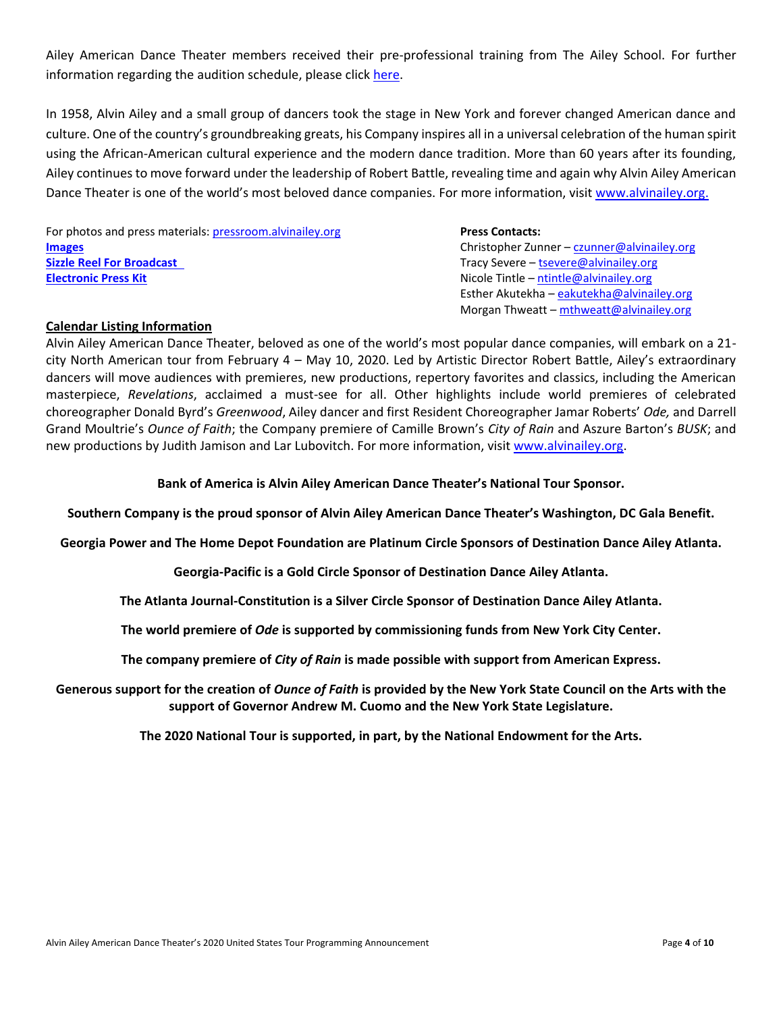Ailey American Dance Theater members received their pre-professional training from The Ailey School. For further information regarding the audition schedule, please click [here.](https://www.theaileyschool.edu/calendars-and-events/audition-calendar)

In 1958, Alvin Ailey and a small group of dancers took the stage in New York and forever changed American dance and culture. One of the country's groundbreaking greats, his Company inspires all in a universal celebration of the human spirit using the African-American cultural experience and the modern dance tradition. More than 60 years after its founding, Ailey continues to move forward under the leadership of Robert Battle, revealing time and again why Alvin Ailey American Dance Theater is one of the world's most beloved dance companies. For more information, visit [www.alvinailey.org.](http://www.alvinailey.org/)

For photos and press materials: [pressroom.alvinailey.org](http://pressroom.alvinailey.org/alvin-ailey-american-dance-theater) **Press Contacts: Press Contacts: [Images](http://pressroom.alvinailey.org/photo?c=24991)** Christopher Zunner – [czunner@alvinailey.org](mailto:czunner@alvinailey.org) **[Sizzle Reel For Broadcast](http://pressroom.alvinailey.org/file/2020-us-tour-sizzle-final?action=&ir=1)** Tracy Severe – [tsevere@alvinailey.org](mailto:tsevere@alvinailey.org) **[Electronic Press Kit](http://pressroom.alvinailey.org/_gallery/get_file/?file_id=5e1df1f62cfac20f37159805&ir=1&file_ext=.pdf) Electronic Press Kit Nicole Tintle – ntintle @alvinailey.org** 

Esther Akutekha – [eakutekha@alvinailey.org](mailto:eakutekha@alvinailey.org) Morgan Thweatt – [mthweatt@alvinailey.org](mailto:mthweatt@alvinailey.org)

# **Calendar Listing Information**

Alvin Ailey American Dance Theater, beloved as one of the world's most popular dance companies, will embark on a 21 city North American tour from February 4 – May 10, 2020. Led by Artistic Director Robert Battle, Ailey's extraordinary dancers will move audiences with premieres, new productions, repertory favorites and classics, including the American masterpiece, *Revelations*, acclaimed a must-see for all. Other highlights include world premieres of celebrated choreographer Donald Byrd's *Greenwood*, Ailey dancer and first Resident Choreographer Jamar Roberts' *Ode,* and Darrell Grand Moultrie's *Ounce of Faith*; the Company premiere of Camille Brown's *City of Rain* and Aszure Barton's *BUSK*; and new productions by Judith Jamison and Lar Lubovitch. For more information, visit [www.alvinailey.org.](http://www.alvinailey.org/)

### **Bank of America is Alvin Ailey American Dance Theater's National Tour Sponsor.**

**Southern Company is the proud sponsor of Alvin Ailey American Dance Theater's Washington, DC Gala Benefit.** 

**Georgia Power and The Home Depot Foundation are Platinum Circle Sponsors of Destination Dance Ailey Atlanta.**

**Georgia-Pacific is a Gold Circle Sponsor of Destination Dance Ailey Atlanta.**

**The Atlanta Journal-Constitution is a Silver Circle Sponsor of Destination Dance Ailey Atlanta.**

**The world premiere of** *Ode* **is supported by commissioning funds from New York City Center.**

**The company premiere of** *City of Rain* **is made possible with support from American Express.**

**Generous support for the creation of** *Ounce of Faith* **is provided by the New York State Council on the Arts with the support of Governor Andrew M. Cuomo and the New York State Legislature.**

**The 2020 National Tour is supported, in part, by the National Endowment for the Arts.**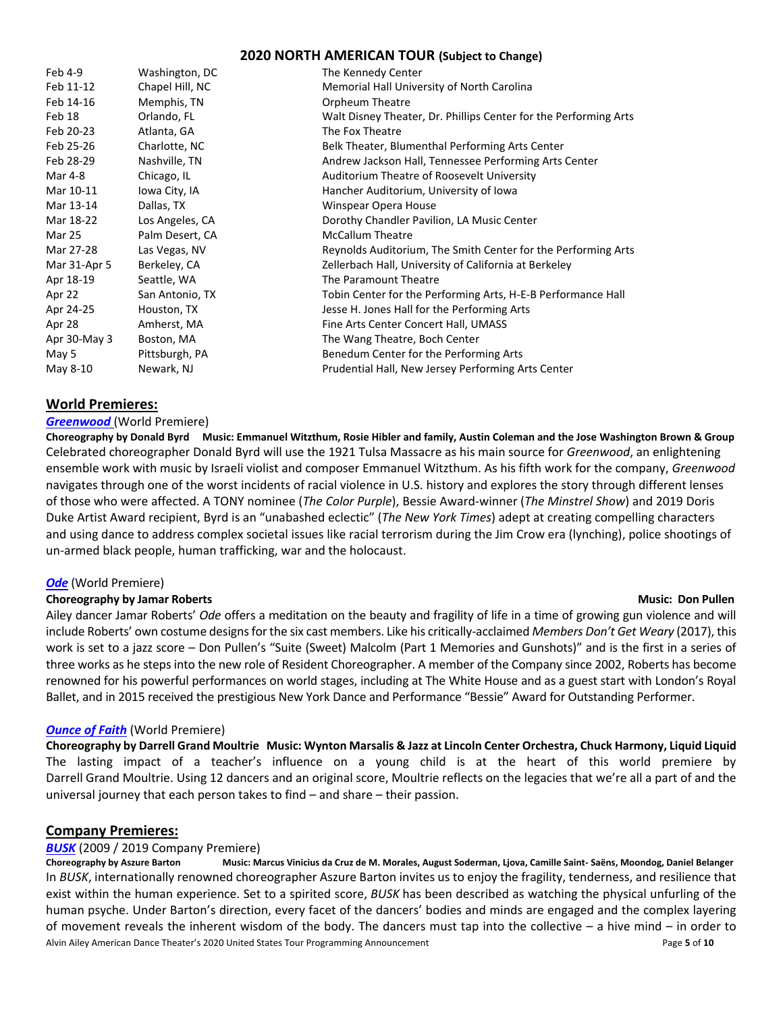# **2020 NORTH AMERICAN TOUR (Subject to Change)**

| Feb 4-9      | Washington, DC  | The Kennedy Center                                               |
|--------------|-----------------|------------------------------------------------------------------|
| Feb 11-12    | Chapel Hill, NC | Memorial Hall University of North Carolina                       |
| Feb 14-16    | Memphis, TN     | Orpheum Theatre                                                  |
| Feb 18       | Orlando, FL     | Walt Disney Theater, Dr. Phillips Center for the Performing Arts |
| Feb 20-23    | Atlanta, GA     | The Fox Theatre                                                  |
| Feb 25-26    | Charlotte, NC   | Belk Theater, Blumenthal Performing Arts Center                  |
| Feb 28-29    | Nashville, TN   | Andrew Jackson Hall, Tennessee Performing Arts Center            |
| Mar 4-8      | Chicago, IL     | Auditorium Theatre of Roosevelt University                       |
| Mar 10-11    | Iowa City, IA   | Hancher Auditorium, University of Iowa                           |
| Mar 13-14    | Dallas, TX      | Winspear Opera House                                             |
| Mar 18-22    | Los Angeles, CA | Dorothy Chandler Pavilion, LA Music Center                       |
| Mar 25       | Palm Desert, CA | <b>McCallum Theatre</b>                                          |
| Mar 27-28    | Las Vegas, NV   | Reynolds Auditorium, The Smith Center for the Performing Arts    |
| Mar 31-Apr 5 | Berkeley, CA    | Zellerbach Hall, University of California at Berkeley            |
| Apr 18-19    | Seattle, WA     | The Paramount Theatre                                            |
| Apr 22       | San Antonio, TX | Tobin Center for the Performing Arts, H-E-B Performance Hall     |
| Apr 24-25    | Houston, TX     | Jesse H. Jones Hall for the Performing Arts                      |
| Apr 28       | Amherst, MA     | Fine Arts Center Concert Hall, UMASS                             |
| Apr 30-May 3 | Boston, MA      | The Wang Theatre, Boch Center                                    |
| May 5        | Pittsburgh, PA  | Benedum Center for the Performing Arts                           |
| May 8-10     | Newark, NJ      | Prudential Hall, New Jersey Performing Arts Center               |

# **World Premieres:**

#### *[Greenwood](http://pressroom.alvinailey.org/alvin-ailey-american-dance-theater/repertory/greenwood)* (World Premiere)

**Choreography by Donald Byrd Music: Emmanuel Witzthum, Rosie Hibler and family, Austin Coleman and the Jose Washington Brown & Group** Celebrated choreographer Donald Byrd will use the 1921 Tulsa Massacre as his main source for *Greenwood*, an enlightening ensemble work with music by Israeli violist and composer Emmanuel Witzthum. As his fifth work for the company, *Greenwood* navigates through one of the worst incidents of racial violence in U.S. history and explores the story through different lenses of those who were affected. A TONY nominee (*The Color Purple*), Bessie Award-winner (*The Minstrel Show*) and 2019 Doris Duke Artist Award recipient, Byrd is an "unabashed eclectic" (*The New York Times*) adept at creating compelling characters and using dance to address complex societal issues like racial terrorism during the Jim Crow era (lynching), police shootings of un-armed black people, human trafficking, war and the holocaust.

### *[Ode](http://pressroom.alvinailey.org/alvin-ailey-american-dance-theater/repertory/ode)* (World Premiere)

### **Choreography by Jamar Roberts and Schoreography by Jamar Roberts and Schoreography by Jamar Roberts and Schoreography and Schoreography and Schoreography and Schoreography and Schoreography and Schoreography and Schoreogr**

# Ailey dancer Jamar Roberts' *Ode* offers a meditation on the beauty and fragility of life in a time of growing gun violence and will include Roberts' own costume designs for the six cast members. Like his critically-acclaimed *Members Don't Get Weary* (2017), this work is set to a jazz score – Don Pullen's "Suite (Sweet) Malcolm (Part 1 Memories and Gunshots)" and is the first in a series of three works as he steps into the new role of Resident Choreographer. A member of the Company since 2002, Roberts has become renowned for his powerful performances on world stages, including at The White House and as a guest start with London's Royal Ballet, and in 2015 received the prestigious New York Dance and Performance "Bessie" Award for Outstanding Performer.

### *<u>Ounce of Faith</u> (World Premiere)*

**Choreography by Darrell Grand Moultrie Music: Wynton Marsalis & Jazz at Lincoln Center Orchestra, Chuck Harmony, Liquid Liquid** The lasting impact of a teacher's influence on a young child is at the heart of this world premiere by Darrell Grand Moultrie. Using 12 dancers and an original score, Moultrie reflects on the legacies that we're all a part of and the universal journey that each person takes to find – and share – their passion.

### **Company Premieres:**

### *[BUSK](http://pressroom.alvinailey.org/alvin-ailey-american-dance-theater/repertory/busk)* (2009 / 2019 Company Premiere)

Alvin Ailey American Dance Theater's 2020 United States Tour Programming Announcement **Page 10** and *Page* 5 of 10 **Choreography by Aszure Barton Music: Marcus Vinicius da Cruz de M. Morales, August Soderman, Ljova, Camille Saint- Saëns, Moondog, Daniel Belanger** In *BUSK*, internationally renowned choreographer Aszure Barton invites us to enjoy the fragility, tenderness, and resilience that exist within the human experience. Set to a spirited score, *BUSK* has been described as watching the physical unfurling of the human psyche. Under Barton's direction, every facet of the dancers' bodies and minds are engaged and the complex layering of movement reveals the inherent wisdom of the body. The dancers must tap into the collective – a hive mind – in order to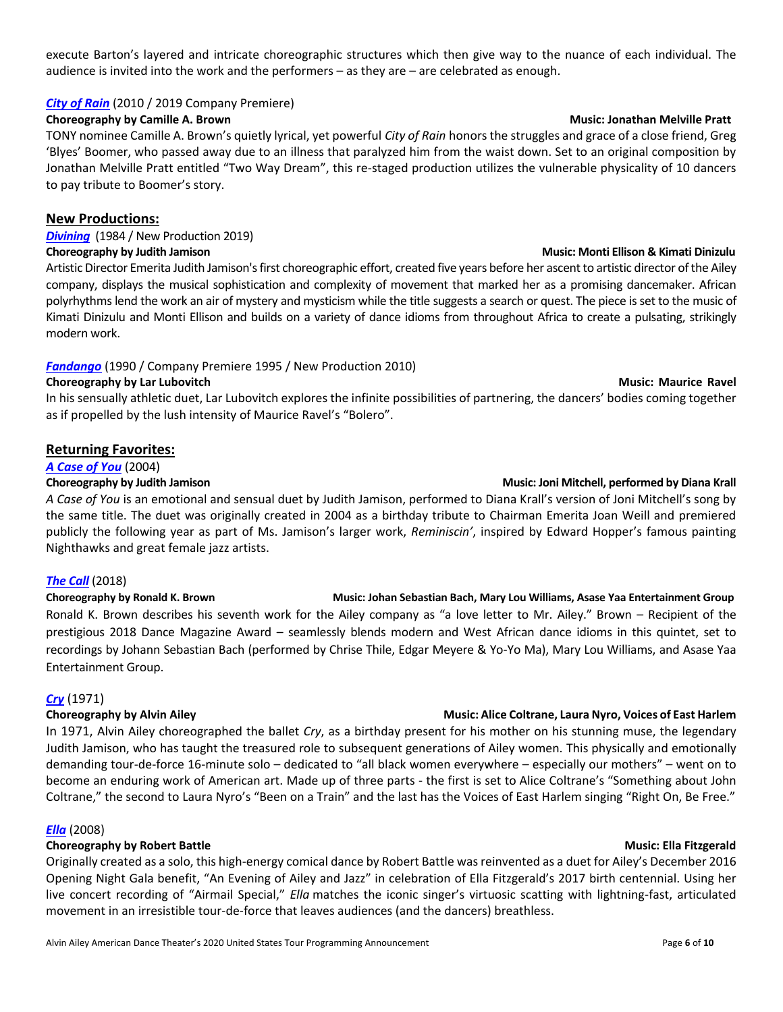execute Barton's layered and intricate choreographic structures which then give way to the nuance of each individual. The audience is invited into the work and the performers – as they are – are celebrated as enough.

### *[City of Rain](http://pressroom.alvinailey.org/alvin-ailey-american-dance-theater/repertory/city-of-rain)* (2010 / 2019 Company Premiere)

# **Choreography by Camille A. Brown Music: Jonathan Melville Pratt**

TONY nominee Camille A. Brown's quietly lyrical, yet powerful *City of Rain* honors the struggles and grace of a close friend, Greg 'Blyes' Boomer, who passed away due to an illness that paralyzed him from the waist down. Set to an original composition by Jonathan Melville Pratt entitled "Two Way Dream", this re-staged production utilizes the vulnerable physicality of 10 dancers to pay tribute to Boomer's story.

# **New Productions:**

*[Divining](http://pressroom.alvinailey.org/alvin-ailey-american-dance-theater/repertory/divining)* (1984 / New Production 2019)

# **Choreography by Judith Jamison Music: Monti Ellison & Kimati Dinizulu 1 Choreography by Judith Jamison Music: Monti Ellison & Kimati Dinizulu 1**

Artistic Director Emerita Judith Jamison's first choreographic effort, created five years before her ascent to artistic director of the Ailey company, displays the musical sophistication and complexity of movement that marked her as a promising dancemaker. African polyrhythms lend the work an air of mystery and mysticism while the title suggests a search or quest. The piece is set to the music of Kimati Dinizulu and Monti Ellison and builds on a variety of dance idioms from throughout Africa to create a pulsating, strikingly modern work.

# *[Fandango](http://pressroom.alvinailey.org/alvin-ailey-american-dance-theater/repertory/fandango)* (1990 / Company Premiere 1995 / New Production 2010)

### **Choreography by Lar Lubovitch Choreography by Lar Lubovitch Choreography by Lar Lubovitch Choreography by Lar Lubovitch Choreography by Lar Lubovitch Choreography by Lar Lubovitch Choreography by Lar Lubovitch Choreograph**

In his sensually athletic duet, Lar Lubovitch explores the infinite possibilities of partnering, the dancers' bodies coming together as if propelled by the lush intensity of Maurice Ravel's "Bolero".

# **Returning Favorites:**

### *[A Case of You](http://pressroom.alvinailey.org/alvin-ailey-american-dance-theater/repertory/a-case-of-you)* (2004)

### **Choreography by Judith Jamison Music: Joni Mitchell, performed by Diana Krall <b>Choreography by Judith Jamison**

*A Case of You* is an emotional and sensual duet by Judith Jamison, performed to Diana Krall's version of Joni Mitchell's song by the same title. The duet was originally created in 2004 as a birthday tribute to Chairman Emerita Joan Weill and premiered publicly the following year as part of Ms. Jamison's larger work, *Reminiscin'*, inspired by Edward Hopper's famous painting Nighthawks and great female jazz artists.

### *[The Call](http://pressroom.alvinailey.org/alvin-ailey-american-dance-theater/repertory/the-call)* (2018)

**Choreography by Ronald K. Brown Music: Johan Sebastian Bach, Mary Lou Williams, Asase Yaa Entertainment Group** Ronald K. Brown describes his seventh work for the Ailey company as "a love letter to Mr. Ailey." Brown – Recipient of the prestigious 2018 Dance Magazine Award – seamlessly blends modern and West African dance idioms in this quintet, set to recordings by Johann Sebastian Bach (performed by Chrise Thile, Edgar Meyere & Yo-Yo Ma), Mary Lou Williams, and Asase Yaa Entertainment Group.

### *[Cry](http://pressroom.alvinailey.org/alvin-ailey-american-dance-theater/repertory/cry)* (1971)

### **Choreography by Alvin Ailey and Schoreography by Alvin Ailey and Schoreography by Alvin Ailey and Schoreography by Alvin Ailey and Schoreography by Alvin Ailey and Schoreography by Alvin Ailey and Schoreography by Alvin A**

In 1971, Alvin Ailey choreographed the ballet *Cry*, as a birthday present for his mother on his stunning muse, the legendary Judith Jamison, who has taught the treasured role to subsequent generations of Ailey women. This physically and emotionally demanding tour-de-force 16-minute solo – dedicated to "all black women everywhere – especially our mothers" – went on to become an enduring work of American art. Made up of three parts - the first is set to Alice Coltrane's "Something about John Coltrane," the second to Laura Nyro's "Been on a Train" and the last has the Voices of East Harlem singing "Right On, Be Free."

### *[Ella](http://pressroom.alvinailey.org/alvin-ailey-american-dance-theater/repertory/ella)* (2008)

# **Choreography by Robert Battle Choreography by Robert Battle Street Australian Choreography by Robert Battle Australian Choreography by Robert Battle Australian Choreography by Robert Battle Australian Choreography by Robe**

Originally created as a solo, this high-energy comical dance by Robert Battle was reinvented as a duet for Ailey's December 2016 Opening Night Gala benefit, "An Evening of Ailey and Jazz" in celebration of Ella Fitzgerald's 2017 birth centennial. Using her live concert recording of "Airmail Special," *Ella* matches the iconic singer's virtuosic scatting with lightning-fast, articulated movement in an irresistible tour-de-force that leaves audiences (and the dancers) breathless.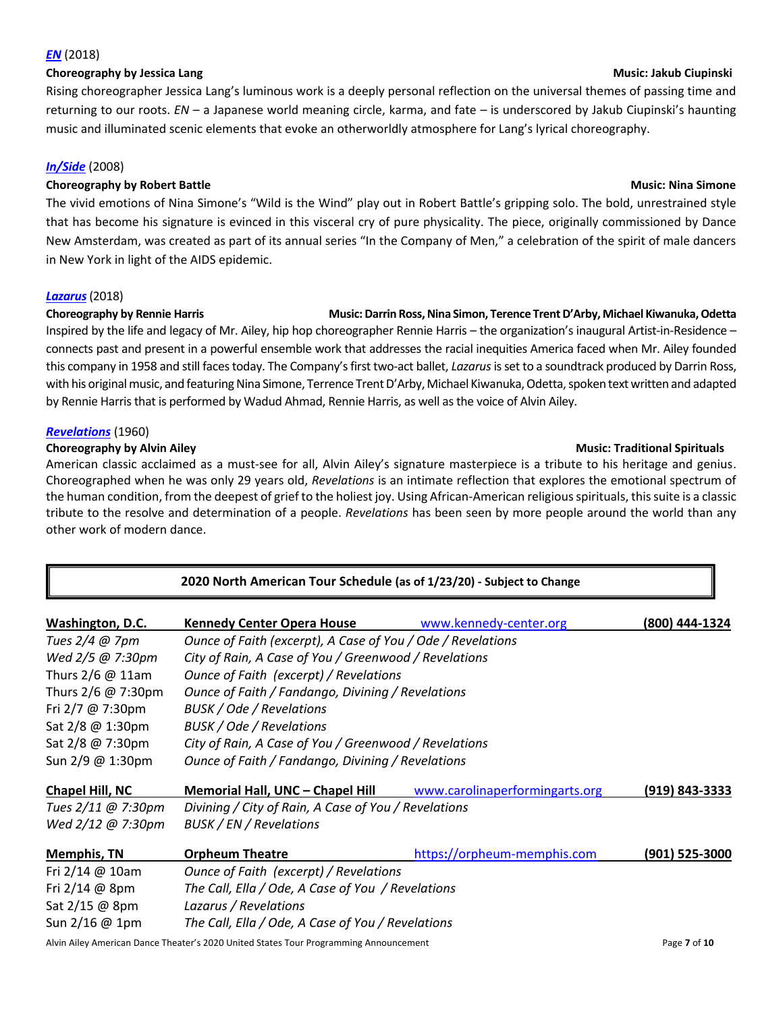#### *[EN](http://pressroom.alvinailey.org/alvin-ailey-american-dance-theater/repertory/en-6690536)* (2018)

#### **Choreography by Jessica Lang Music: Jakub Ciupinski**

Rising choreographer Jessica Lang's luminous work is a deeply personal reflection on the universal themes of passing time and returning to our roots. *EN* – a Japanese world meaning circle, karma, and fate – is underscored by Jakub Ciupinski's haunting music and illuminated scenic elements that evoke an otherworldly atmosphere for Lang's lyrical choreography.

# *[In/Side](http://pressroom.alvinailey.org/alvin-ailey-american-dance-theater/repertory/in-side)* (2008)

### **Choreography by Robert Battle Choreography by Robert Battle Music: Nina Simone**

The vivid emotions of Nina Simone's "Wild is the Wind" play out in Robert Battle's gripping solo. The bold, unrestrained style that has become his signature is evinced in this visceral cry of pure physicality. The piece, originally commissioned by Dance New Amsterdam, was created as part of its annual series "In the Company of Men," a celebration of the spirit of male dancers in New York in light of the AIDS epidemic.

#### *[Lazarus](http://pressroom.alvinailey.org/alvin-ailey-american-dance-theater/repertory/lazarus)*(2018)

#### **Choreography by Rennie Harris Music: Darrin Ross, Nina Simon, Terence Trent D'Arby, Michael Kiwanuka, Odetta**

Inspired by the life and legacy of Mr. Ailey, hip hop choreographer Rennie Harris – the organization's inaugural Artist-in-Residence – connects past and present in a powerful ensemble work that addresses the racial inequities America faced when Mr. Ailey founded this company in 1958 and still faces today. The Company's first two-act ballet, *Lazarus*is set to a soundtrack produced by Darrin Ross, with his original music, and featuring Nina Simone, Terrence Trent D'Arby, Michael Kiwanuka, Odetta, spoken text written and adapted by Rennie Harris that is performed by Wadud Ahmad, Rennie Harris, as well as the voice of Alvin Ailey.

#### *[Revelations](http://pressroom.alvinailey.org/pr/ailey/category-page.aspx?ncid=21238)* (1960)

#### **Choreography by Alvin Ailey and Spirituals** and Spirituals and Spirituals and Spirituals and Spirituals and Spirituals

American classic acclaimed as a must-see for all, Alvin Ailey's signature masterpiece is a tribute to his heritage and genius. Choreographed when he was only 29 years old, *Revelations* is an intimate reflection that explores the emotional spectrum of the human condition, from the deepest of grief to the holiest joy. Using African-American religious spirituals, this suite is a classic tribute to the resolve and determination of a people. *Revelations* has been seen by more people around the world than any other work of modern dance.

| 2020 North American Tour Schedule (as of 1/23/20) - Subject to Change |                                                                 |                             |                |  |  |
|-----------------------------------------------------------------------|-----------------------------------------------------------------|-----------------------------|----------------|--|--|
| Washington, D.C.                                                      | <b>Kennedy Center Opera House</b>                               | www.kennedy-center.org      | (800) 444-1324 |  |  |
| Tues $2/4$ @ 7pm                                                      | Ounce of Faith (excerpt), A Case of You / Ode / Revelations     |                             |                |  |  |
| Wed 2/5 @ 7:30pm                                                      | City of Rain, A Case of You / Greenwood / Revelations           |                             |                |  |  |
| Thurs $2/6$ @ 11am                                                    | Ounce of Faith (excerpt) / Revelations                          |                             |                |  |  |
| Thurs 2/6 @ 7:30pm                                                    | Ounce of Faith / Fandango, Divining / Revelations               |                             |                |  |  |
| Fri 2/7 @ 7:30pm                                                      | <b>BUSK / Ode / Revelations</b>                                 |                             |                |  |  |
| Sat 2/8 @ 1:30pm                                                      | BUSK / Ode / Revelations                                        |                             |                |  |  |
| Sat 2/8 @ 7:30pm                                                      | City of Rain, A Case of You / Greenwood / Revelations           |                             |                |  |  |
| Sun 2/9 @ 1:30pm                                                      | Ounce of Faith / Fandango, Divining / Revelations               |                             |                |  |  |
| Chapel Hill, NC                                                       | Memorial Hall, UNC - Chapel Hill www.carolinaperformingarts.org |                             | (919) 843-3333 |  |  |
| Tues 2/11 @ 7:30pm                                                    | Divining / City of Rain, A Case of You / Revelations            |                             |                |  |  |
| Wed 2/12 @ 7:30pm                                                     | BUSK / EN / Revelations                                         |                             |                |  |  |
| <b>Memphis, TN</b>                                                    | <b>Orpheum Theatre</b>                                          | https://orpheum-memphis.com | (901) 525-3000 |  |  |
| Fri $2/14 \ @ 10am$                                                   | Ounce of Faith (excerpt) / Revelations                          |                             |                |  |  |
| Fri $2/14$ @ 8pm                                                      | The Call, Ella / Ode, A Case of You / Revelations               |                             |                |  |  |
| Sat 2/15 @ 8pm                                                        | Lazarus / Revelations                                           |                             |                |  |  |
| Sun 2/16 @ 1pm                                                        | The Call, Ella / Ode, A Case of You / Revelations               |                             |                |  |  |

Alvin Ailey American Dance Theater's 2020 United States Tour Programming Announcement **Page 7** of 10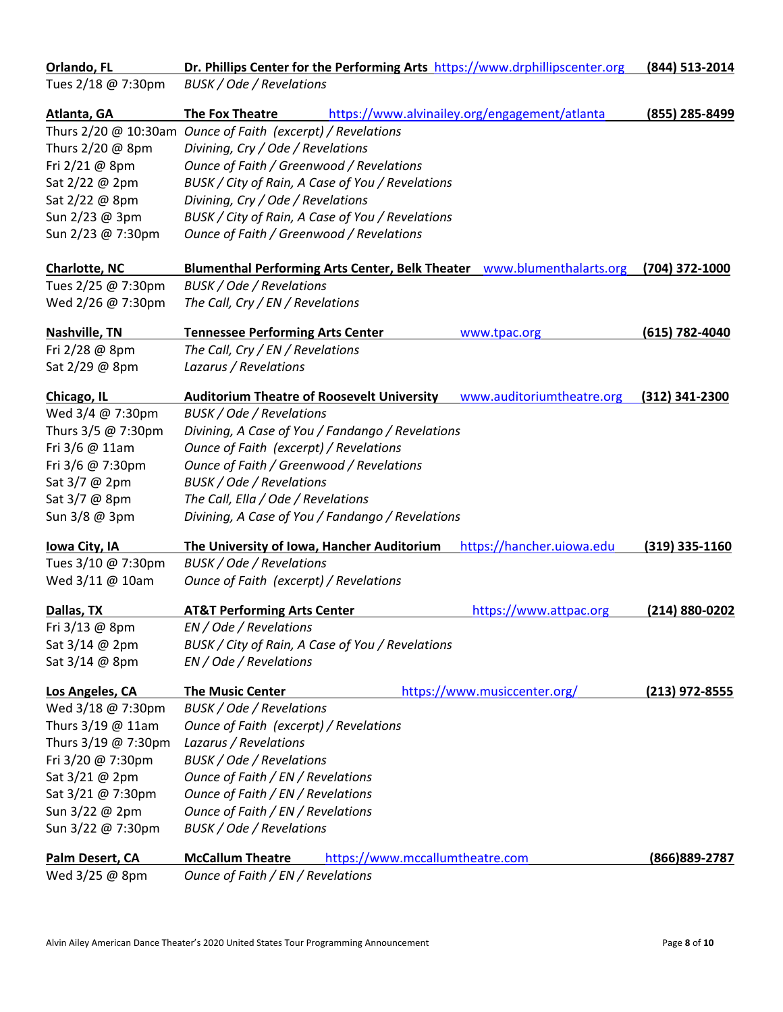| Orlando, FL          | Dr. Phillips Center for the Performing Arts https://www.drphillipscenter.org           | (844) 513-2014   |
|----------------------|----------------------------------------------------------------------------------------|------------------|
| Tues 2/18 @ 7:30pm   | BUSK / Ode / Revelations                                                               |                  |
| Atlanta, GA          | https://www.alvinailey.org/engagement/atlanta<br>The Fox Theatre                       | (855) 285-8499   |
|                      | Thurs 2/20 @ 10:30am Ounce of Faith (excerpt) / Revelations                            |                  |
| Thurs 2/20 @ 8pm     | Divining, Cry / Ode / Revelations                                                      |                  |
| Fri 2/21 @ 8pm       | Ounce of Faith / Greenwood / Revelations                                               |                  |
| Sat 2/22 @ 2pm       | BUSK / City of Rain, A Case of You / Revelations                                       |                  |
| Sat 2/22 @ 8pm       | Divining, Cry / Ode / Revelations                                                      |                  |
| Sun 2/23 @ 3pm       | BUSK / City of Rain, A Case of You / Revelations                                       |                  |
| Sun 2/23 @ 7:30pm    | Ounce of Faith / Greenwood / Revelations                                               |                  |
| <b>Charlotte, NC</b> | Blumenthal Performing Arts Center, Belk Theater _www.blumenthalarts.org (704) 372-1000 |                  |
| Tues 2/25 @ 7:30pm   | BUSK / Ode / Revelations                                                               |                  |
| Wed 2/26 @ 7:30pm    | The Call, Cry / EN / Revelations                                                       |                  |
| Nashville, TN        | <b>Tennessee Performing Arts Center</b><br>www.tpac.org                                | (615) 782-4040   |
| Fri 2/28 @ 8pm       | The Call, Cry / EN / Revelations                                                       |                  |
| Sat 2/29 @ 8pm       | Lazarus / Revelations                                                                  |                  |
| Chicago, IL          | <b>Auditorium Theatre of Roosevelt University</b><br>www.auditoriumtheatre.org         | (312) 341-2300   |
| Wed 3/4 @ 7:30pm     | BUSK / Ode / Revelations                                                               |                  |
| Thurs 3/5 @ 7:30pm   | Divining, A Case of You / Fandango / Revelations                                       |                  |
| Fri 3/6 @ 11am       | Ounce of Faith (excerpt) / Revelations                                                 |                  |
| Fri 3/6 @ 7:30pm     | Ounce of Faith / Greenwood / Revelations                                               |                  |
| Sat 3/7 @ 2pm        | BUSK / Ode / Revelations                                                               |                  |
| Sat 3/7 @ 8pm        | The Call, Ella / Ode / Revelations                                                     |                  |
| Sun 3/8 @ 3pm        | Divining, A Case of You / Fandango / Revelations                                       |                  |
| lowa City, IA        | The University of Iowa, Hancher Auditorium<br>https://hancher.uiowa.edu                | $(319)$ 335-1160 |
| Tues 3/10 @ 7:30pm   | BUSK / Ode / Revelations                                                               |                  |
| Wed 3/11 @ 10am      | Ounce of Faith (excerpt) / Revelations                                                 |                  |
| Dallas, TX           | <b>AT&amp;T Performing Arts Center</b><br>https://www.attpac.org                       | (214) 880-0202   |
| Fri 3/13 @ 8pm       | EN / Ode / Revelations                                                                 |                  |
| Sat $3/14$ @ 2pm     | BUSK / City of Rain, A Case of You / Revelations                                       |                  |
| Sat 3/14 @ 8pm       | EN / Ode / Revelations                                                                 |                  |
| Los Angeles, CA      | <b>The Music Center</b><br>https://www.musiccenter.org/                                | $(213)$ 972-8555 |
| Wed 3/18 @ 7:30pm    | BUSK / Ode / Revelations                                                               |                  |
| Thurs 3/19 @ 11am    | Ounce of Faith (excerpt) / Revelations                                                 |                  |
| Thurs 3/19 @ 7:30pm  | Lazarus / Revelations                                                                  |                  |
| Fri 3/20 @ 7:30pm    | <b>BUSK / Ode / Revelations</b>                                                        |                  |
| Sat 3/21 @ 2pm       | Ounce of Faith / EN / Revelations                                                      |                  |
| Sat 3/21 @ 7:30pm    | Ounce of Faith / EN / Revelations                                                      |                  |
| Sun 3/22 @ 2pm       | Ounce of Faith / EN / Revelations                                                      |                  |
| Sun 3/22 @ 7:30pm    | BUSK / Ode / Revelations                                                               |                  |
| Palm Desert, CA      | <b>McCallum Theatre</b><br>https://www.mccallumtheatre.com                             | (866) 889-2787   |
| Wed 3/25 @ 8pm       | Ounce of Faith / EN / Revelations                                                      |                  |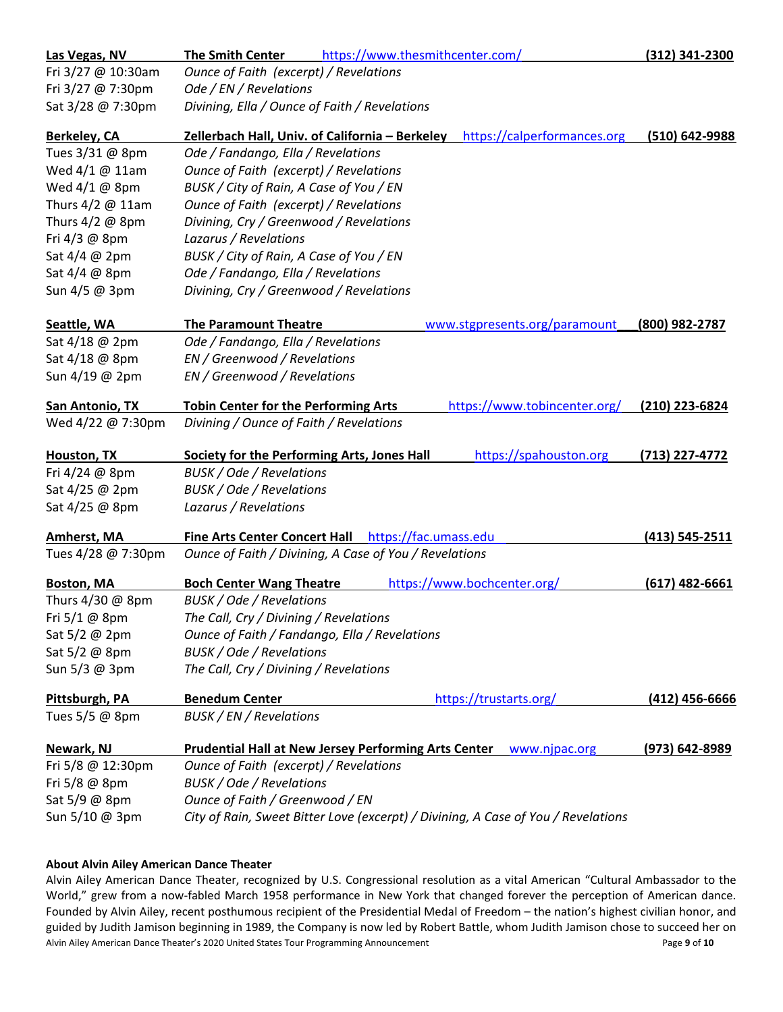| Las Vegas, NV       | https://www.thesmithcenter.com/<br><b>The Smith Center</b>                     | (312) 341-2300     |
|---------------------|--------------------------------------------------------------------------------|--------------------|
| Fri 3/27 @ 10:30am  | Ounce of Faith (excerpt) / Revelations                                         |                    |
| Fri 3/27 @ 7:30pm   | Ode / EN / Revelations                                                         |                    |
| Sat 3/28 @ 7:30pm   | Divining, Ella / Ounce of Faith / Revelations                                  |                    |
| <b>Berkeley, CA</b> | Zellerbach Hall, Univ. of California - Berkeley<br>https://calperformances.org | (510) 642-9988     |
| Tues 3/31 @ 8pm     | Ode / Fandango, Ella / Revelations                                             |                    |
| Wed $4/1$ @ 11am    | Ounce of Faith (excerpt) / Revelations                                         |                    |
| Wed 4/1 @ 8pm       | BUSK / City of Rain, A Case of You / EN                                        |                    |
| Thurs 4/2 @ 11am    | Ounce of Faith (excerpt) / Revelations                                         |                    |
| Thurs 4/2 @ 8pm     | Divining, Cry / Greenwood / Revelations                                        |                    |
| Fri 4/3 @ 8pm       | Lazarus / Revelations                                                          |                    |
| Sat 4/4 @ 2pm       | BUSK / City of Rain, A Case of You / EN                                        |                    |
| Sat 4/4 @ 8pm       | Ode / Fandango, Ella / Revelations                                             |                    |
| Sun 4/5 @ 3pm       | Divining, Cry / Greenwood / Revelations                                        |                    |
| Seattle, WA         | <b>The Paramount Theatre</b><br>www.stgpresents.org/paramount                  | (800) 982-2787     |
| Sat 4/18 @ 2pm      | Ode / Fandango, Ella / Revelations                                             |                    |
| Sat 4/18 @ 8pm      | EN / Greenwood / Revelations                                                   |                    |
| Sun 4/19 @ 2pm      | EN / Greenwood / Revelations                                                   |                    |
| San Antonio, TX     | https://www.tobincenter.org/<br><b>Tobin Center for the Performing Arts</b>    | (210) 223-6824     |
| Wed 4/22 @ 7:30pm   | Divining / Ounce of Faith / Revelations                                        |                    |
| Houston, TX         | Society for the Performing Arts, Jones Hall<br>https://spahouston.org          | (713) 227-4772     |
| Fri 4/24 @ 8pm      | BUSK / Ode / Revelations                                                       |                    |
| Sat 4/25 @ 2pm      | BUSK / Ode / Revelations                                                       |                    |
| Sat 4/25 @ 8pm      | Lazarus / Revelations                                                          |                    |
| Amherst, MA         | Fine Arts Center Concert Hall https://fac.umass.edu                            | $(413) 545 - 2511$ |
| Tues 4/28 @ 7:30pm  | Ounce of Faith / Divining, A Case of You / Revelations                         |                    |
| <b>Boston, MA</b>   | https://www.bochcenter.org/<br><b>Boch Center Wang Theatre</b>                 | $(617)$ 482-6661   |
| Thurs 4/30 @ 8pm    | <b>BUSK / Ode / Revelations</b>                                                |                    |
| Fri 5/1 @ 8pm       | The Call, Cry / Divining / Revelations                                         |                    |
| Sat 5/2 @ 2pm       | Ounce of Faith / Fandango, Ella / Revelations                                  |                    |
| Sat 5/2 @ 8pm       | BUSK / Ode / Revelations                                                       |                    |
| Sun 5/3 @ 3pm       | The Call, Cry / Divining / Revelations                                         |                    |
| Pittsburgh, PA      | https://trustarts.org/<br><b>Benedum Center</b>                                | $(412)$ 456-6666   |
| Tues 5/5 @ 8pm      | BUSK / EN / Revelations                                                        |                    |
|                     |                                                                                |                    |
| Newark, NJ          | <b>Prudential Hall at New Jersey Performing Arts Center</b><br>www.njpac.org   | $(973) 642 - 8989$ |
| Fri 5/8 @ 12:30pm   | Ounce of Faith (excerpt) / Revelations                                         |                    |
| Fri 5/8 @ 8pm       | <b>BUSK / Ode / Revelations</b>                                                |                    |
| Sat 5/9 @ 8pm       | Ounce of Faith / Greenwood / EN                                                |                    |

#### **About Alvin Ailey American Dance Theater**

Alvin Ailey American Dance Theater's 2020 United States Tour Programming Announcement Page 9 of 10 Alvin Ailey American Dance Theater, recognized by U.S. Congressional resolution as a vital American "Cultural Ambassador to the World," grew from a now-fabled March 1958 performance in New York that changed forever the perception of American dance. Founded by Alvin Ailey, recent posthumous recipient of the Presidential Medal of Freedom – the nation's highest civilian honor, and guided by Judith Jamison beginning in 1989, the Company is now led by Robert Battle, whom Judith Jamison chose to succeed her on